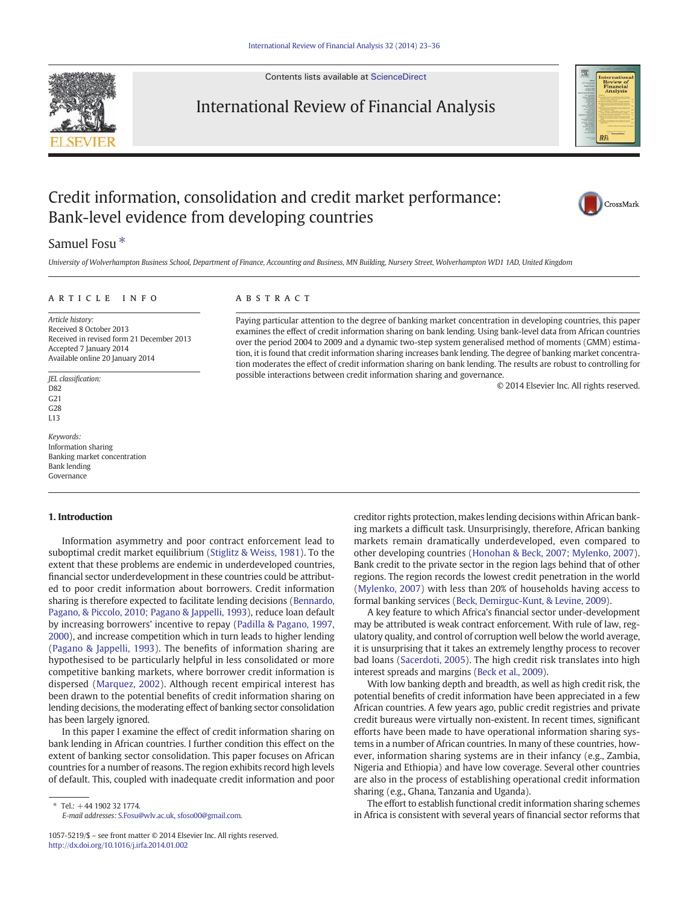Contents lists available at [ScienceDirect](http://www.sciencedirect.com/science/journal/10575219)



# International Review of Financial Analysis



# Credit information, consolidation and credit market performance: Bank-level evidence from developing countries



## Samuel Fosu<sup>\*</sup>

University of Wolverhampton Business School, Department of Finance, Accounting and Business, MN Building, Nursery Street, Wolverhampton WD1 1AD, United Kingdom

### article info abstract

Article history: Received 8 October 2013 Received in revised form 21 December 2013 Accepted 7 January 2014 Available online 20 January 2014

JEL classification: D82 G21  $C<sub>28</sub>$ L13

Keywords: Information sharing Banking market concentration Bank lending Governance

### 1. Introduction

Information asymmetry and poor contract enforcement lead to suboptimal credit market equilibrium ([Stiglitz & Weiss, 1981](#page--1-0)). To the extent that these problems are endemic in underdeveloped countries, financial sector underdevelopment in these countries could be attributed to poor credit information about borrowers. Credit information sharing is therefore expected to facilitate lending decisions [\(Bennardo,](#page--1-0) [Pagano, & Piccolo, 2010; Pagano & Jappelli, 1993\)](#page--1-0), reduce loan default by increasing borrowers' incentive to repay [\(Padilla & Pagano, 1997,](#page--1-0) [2000](#page--1-0)), and increase competition which in turn leads to higher lending [\(Pagano & Jappelli, 1993\)](#page--1-0). The benefits of information sharing are hypothesised to be particularly helpful in less consolidated or more competitive banking markets, where borrower credit information is dispersed ([Marquez, 2002](#page--1-0)). Although recent empirical interest has been drawn to the potential benefits of credit information sharing on lending decisions, the moderating effect of banking sector consolidation has been largely ignored.

In this paper I examine the effect of credit information sharing on bank lending in African countries. I further condition this effect on the extent of banking sector consolidation. This paper focuses on African countries for a number of reasons. The region exhibits record high levels of default. This, coupled with inadequate credit information and poor

Paying particular attention to the degree of banking market concentration in developing countries, this paper examines the effect of credit information sharing on bank lending. Using bank-level data from African countries over the period 2004 to 2009 and a dynamic two-step system generalised method of moments (GMM) estimation, it is found that credit information sharing increases bank lending. The degree of banking market concentration moderates the effect of credit information sharing on bank lending. The results are robust to controlling for possible interactions between credit information sharing and governance.

© 2014 Elsevier Inc. All rights reserved.

creditor rights protection, makes lending decisions within African banking markets a difficult task. Unsurprisingly, therefore, African banking markets remain dramatically underdeveloped, even compared to other developing countries [\(Honohan & Beck, 2007; Mylenko, 2007](#page--1-0)). Bank credit to the private sector in the region lags behind that of other regions. The region records the lowest credit penetration in the world [\(Mylenko, 2007](#page--1-0)) with less than 20% of households having access to formal banking services [\(Beck, Demirguc-Kunt, & Levine, 2009\)](#page--1-0).

A key feature to which Africa's financial sector under-development may be attributed is weak contract enforcement. With rule of law, regulatory quality, and control of corruption well below the world average, it is unsurprising that it takes an extremely lengthy process to recover bad loans ([Sacerdoti, 2005](#page--1-0)). The high credit risk translates into high interest spreads and margins ([Beck et al., 2009](#page--1-0)).

With low banking depth and breadth, as well as high credit risk, the potential benefits of credit information have been appreciated in a few African countries. A few years ago, public credit registries and private credit bureaus were virtually non-existent. In recent times, significant efforts have been made to have operational information sharing systems in a number of African countries. In many of these countries, however, information sharing systems are in their infancy (e.g., Zambia, Nigeria and Ethiopia) and have low coverage. Several other countries are also in the process of establishing operational credit information sharing (e.g., Ghana, Tanzania and Uganda).

The effort to establish functional credit information sharing schemes in Africa is consistent with several years of financial sector reforms that

 $*$  Tel.:  $+44$  1902 32 1774. E-mail addresses: [S.Fosu@wlv.ac.uk,](mailto:) [sfoso00@gmail.com](mailto:).

<sup>1057-5219/\$</sup> – see front matter © 2014 Elsevier Inc. All rights reserved. <http://dx.doi.org/10.1016/j.irfa.2014.01.002>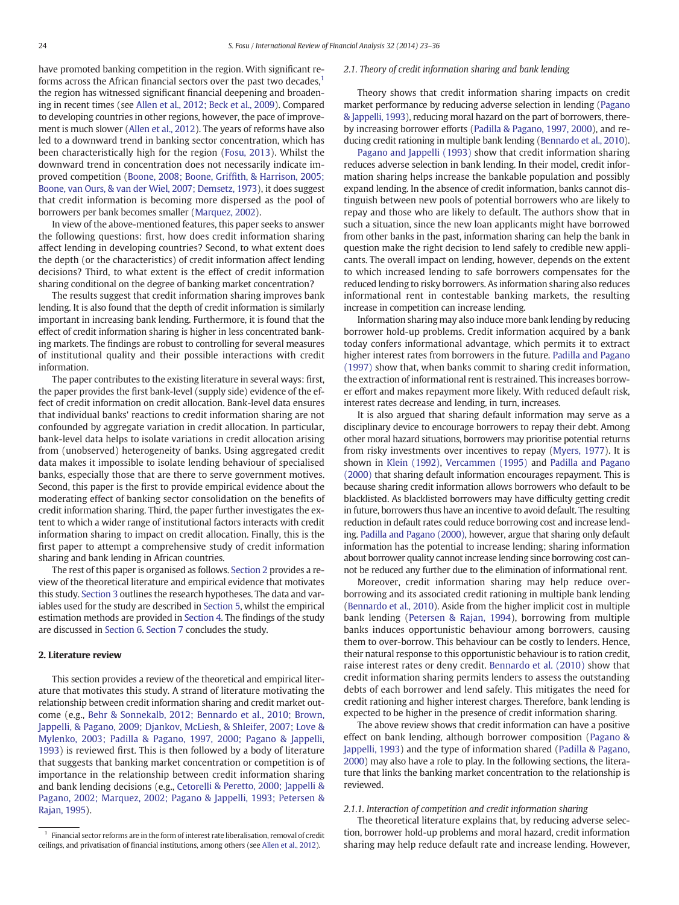have promoted banking competition in the region. With significant reforms across the African financial sectors over the past two decades, $<sup>1</sup>$ </sup> the region has witnessed significant financial deepening and broadening in recent times (see [Allen et al., 2012; Beck et al., 2009\)](#page--1-0). Compared to developing countries in other regions, however, the pace of improvement is much slower [\(Allen et al., 2012](#page--1-0)). The years of reforms have also led to a downward trend in banking sector concentration, which has been characteristically high for the region [\(Fosu, 2013](#page--1-0)). Whilst the downward trend in concentration does not necessarily indicate improved competition [\(Boone, 2008; Boone, Grif](#page--1-0)fith, & Harrison, 2005; [Boone, van Ours, & van der Wiel, 2007; Demsetz, 1973\)](#page--1-0), it does suggest that credit information is becoming more dispersed as the pool of borrowers per bank becomes smaller [\(Marquez, 2002](#page--1-0)).

In view of the above-mentioned features, this paper seeks to answer the following questions: first, how does credit information sharing affect lending in developing countries? Second, to what extent does the depth (or the characteristics) of credit information affect lending decisions? Third, to what extent is the effect of credit information sharing conditional on the degree of banking market concentration?

The results suggest that credit information sharing improves bank lending. It is also found that the depth of credit information is similarly important in increasing bank lending. Furthermore, it is found that the effect of credit information sharing is higher in less concentrated banking markets. The findings are robust to controlling for several measures of institutional quality and their possible interactions with credit information.

The paper contributes to the existing literature in several ways: first, the paper provides the first bank-level (supply side) evidence of the effect of credit information on credit allocation. Bank-level data ensures that individual banks' reactions to credit information sharing are not confounded by aggregate variation in credit allocation. In particular, bank-level data helps to isolate variations in credit allocation arising from (unobserved) heterogeneity of banks. Using aggregated credit data makes it impossible to isolate lending behaviour of specialised banks, especially those that are there to serve government motives. Second, this paper is the first to provide empirical evidence about the moderating effect of banking sector consolidation on the benefits of credit information sharing. Third, the paper further investigates the extent to which a wider range of institutional factors interacts with credit information sharing to impact on credit allocation. Finally, this is the first paper to attempt a comprehensive study of credit information sharing and bank lending in African countries.

The rest of this paper is organised as follows. Section 2 provides a review of the theoretical literature and empirical evidence that motivates this study. [Section 3](#page--1-0) outlines the research hypotheses. The data and variables used for the study are described in [Section 5,](#page--1-0) whilst the empirical estimation methods are provided in [Section 4.](#page--1-0) The findings of the study are discussed in [Section 6](#page--1-0). [Section 7](#page--1-0) concludes the study.

### 2. Literature review

This section provides a review of the theoretical and empirical literature that motivates this study. A strand of literature motivating the relationship between credit information sharing and credit market outcome (e.g., [Behr & Sonnekalb, 2012; Bennardo et al., 2010; Brown,](#page--1-0) [Jappelli, & Pagano, 2009; Djankov, McLiesh, & Shleifer, 2007; Love &](#page--1-0) [Mylenko, 2003; Padilla & Pagano, 1997, 2000; Pagano & Jappelli,](#page--1-0) [1993](#page--1-0)) is reviewed first. This is then followed by a body of literature that suggests that banking market concentration or competition is of importance in the relationship between credit information sharing and bank lending decisions (e.g., [Cetorelli & Peretto, 2000; Jappelli &](#page--1-0) [Pagano, 2002; Marquez, 2002; Pagano & Jappelli, 1993; Petersen &](#page--1-0) [Rajan, 1995](#page--1-0)).

### 2.1. Theory of credit information sharing and bank lending

Theory shows that credit information sharing impacts on credit market performance by reducing adverse selection in lending [\(Pagano](#page--1-0) [& Jappelli, 1993\)](#page--1-0), reducing moral hazard on the part of borrowers, thereby increasing borrower efforts ([Padilla & Pagano, 1997, 2000](#page--1-0)), and reducing credit rationing in multiple bank lending [\(Bennardo et al., 2010\)](#page--1-0).

[Pagano and Jappelli \(1993\)](#page--1-0) show that credit information sharing reduces adverse selection in bank lending. In their model, credit information sharing helps increase the bankable population and possibly expand lending. In the absence of credit information, banks cannot distinguish between new pools of potential borrowers who are likely to repay and those who are likely to default. The authors show that in such a situation, since the new loan applicants might have borrowed from other banks in the past, information sharing can help the bank in question make the right decision to lend safely to credible new applicants. The overall impact on lending, however, depends on the extent to which increased lending to safe borrowers compensates for the reduced lending to risky borrowers. As information sharing also reduces informational rent in contestable banking markets, the resulting increase in competition can increase lending.

Information sharing may also induce more bank lending by reducing borrower hold-up problems. Credit information acquired by a bank today confers informational advantage, which permits it to extract higher interest rates from borrowers in the future. [Padilla and Pagano](#page--1-0) [\(1997\)](#page--1-0) show that, when banks commit to sharing credit information, the extraction of informational rent is restrained. This increases borrower effort and makes repayment more likely. With reduced default risk, interest rates decrease and lending, in turn, increases.

It is also argued that sharing default information may serve as a disciplinary device to encourage borrowers to repay their debt. Among other moral hazard situations, borrowers may prioritise potential returns from risky investments over incentives to repay [\(Myers, 1977\)](#page--1-0). It is shown in [Klein \(1992\)](#page--1-0), [Vercammen \(1995\)](#page--1-0) and [Padilla and Pagano](#page--1-0) [\(2000\)](#page--1-0) that sharing default information encourages repayment. This is because sharing credit information allows borrowers who default to be blacklisted. As blacklisted borrowers may have difficulty getting credit in future, borrowers thus have an incentive to avoid default. The resulting reduction in default rates could reduce borrowing cost and increase lending. [Padilla and Pagano \(2000\),](#page--1-0) however, argue that sharing only default information has the potential to increase lending; sharing information about borrower quality cannot increase lending since borrowing cost cannot be reduced any further due to the elimination of informational rent.

Moreover, credit information sharing may help reduce overborrowing and its associated credit rationing in multiple bank lending [\(Bennardo et al., 2010](#page--1-0)). Aside from the higher implicit cost in multiple bank lending ([Petersen & Rajan, 1994](#page--1-0)), borrowing from multiple banks induces opportunistic behaviour among borrowers, causing them to over-borrow. This behaviour can be costly to lenders. Hence, their natural response to this opportunistic behaviour is to ration credit, raise interest rates or deny credit. [Bennardo et al. \(2010\)](#page--1-0) show that credit information sharing permits lenders to assess the outstanding debts of each borrower and lend safely. This mitigates the need for credit rationing and higher interest charges. Therefore, bank lending is expected to be higher in the presence of credit information sharing.

The above review shows that credit information can have a positive effect on bank lending, although borrower composition ([Pagano &](#page--1-0) [Jappelli, 1993](#page--1-0)) and the type of information shared [\(Padilla & Pagano,](#page--1-0) [2000\)](#page--1-0) may also have a role to play. In the following sections, the literature that links the banking market concentration to the relationship is reviewed.

### 2.1.1. Interaction of competition and credit information sharing

The theoretical literature explains that, by reducing adverse selection, borrower hold-up problems and moral hazard, credit information sharing may help reduce default rate and increase lending. However,

 $1$  Financial sector reforms are in the form of interest rate liberalisation, removal of credit ceilings, and privatisation of financial institutions, among others (see [Allen et al., 2012](#page--1-0)).